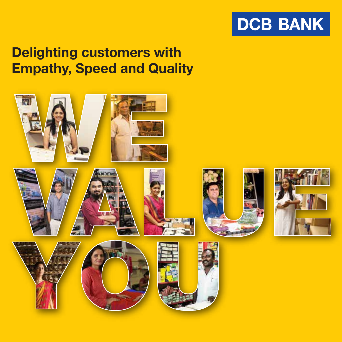

# Delighting customers with Empathy, Speed and Quality

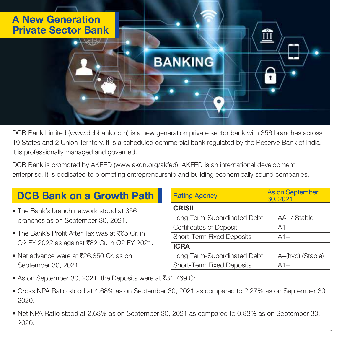

DCB Bank Limited (www.dcbbank.com) is a new generation private sector bank with 356 branches across 19 States and 2 Union Territory. It is a scheduled commercial bank regulated by the Reserve Bank of India. It is professionally managed and governed.

DCB Bank is promoted by AKFED (www.akdn.org/akfed). AKFED is an international development enterprise. It is dedicated to promoting entrepreneurship and building economically sound companies.

## DCB Bank on a Growth Path

- The Bank's branch network stood at 356 branches as on September 30, 2021.
- The Bank's Profit After Tax was at  $\bar{z}$ 65 Cr. in Q2 FY 2022 as against ₹82 Cr. in Q2 FY 2021.
- Net advance were at  $\overline{5}26,850$  Cr. as on September 30, 2021.

| <b>Rating Agency</b>        | <b>As on September</b><br>30, 2021 |
|-----------------------------|------------------------------------|
| <b>CRISIL</b>               |                                    |
| Long Term-Subordinated Debt | AA- / Stable                       |
| Certificates of Deposit     | $A1+$                              |
| Short-Term Fixed Deposits   | $A1+$                              |
| <b>ICRA</b>                 |                                    |
| Long Term-Subordinated Debt | A+(hyb) (Stable)                   |
| Short-Term Fixed Deposits   | $A1+$                              |

- As on September 30, 2021, the Deposits were at  $\overline{531}$ ,769 Cr.
- Gross NPA Ratio stood at 4.68% as on September 30, 2021 as compared to 2.27% as on September 30, 2020.
- Net NPA Ratio stood at 2.63% as on September 30, 2021 as compared to 0.83% as on September 30, 2020.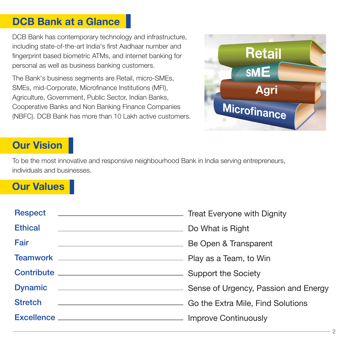## DCB Bank at a Glance

DCB Bank has contemporary technology and infrastructure, including state-of-the-art India's first Aadhaar number and fingerprint based biometric ATMs, and internet banking for personal as well as business banking customers.

The Bank's business segments are Retail, micro-SMEs, SMEs, mid-Corporate, Microfinance Institutions (MFI), Agriculture, Government, Public Sector, Indian Banks, Cooperative Banks and Non Banking Finance Companies (NBFC). DCB Bank has more than 10 Lakh active customers.



## Our Vision

To be the most innovative and responsive neighbourhood Bank in India serving entrepreneurs, individuals and businesses.

## Our Values

| <b>Respect</b><br>Treat Everyone with Dignity                                                                                          |                       |
|----------------------------------------------------------------------------------------------------------------------------------------|-----------------------|
| <b>Ethical</b><br><u> 1989 - Johann Stein, mars an deutscher Stein und der Stein und der Stein und der Stein und der Stein und der</u> | Do What is Right      |
| Fair<br><u> 1989 - Johann Barn, fransk politik (f. 1989)</u>                                                                           | Be Open & Transparent |
|                                                                                                                                        |                       |
|                                                                                                                                        |                       |
| Dynamic <u>_________________________________</u> Sense of Urgency, Passion and Energy                                                  |                       |
| <b>Stretch</b><br><b>Co the Extra Mile, Find Solutions</b> Co the Extra Mile, Find Solutions                                           |                       |
|                                                                                                                                        |                       |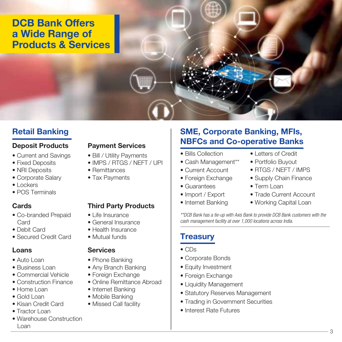## DCB Bank Offers a Wide Range of Products & Services

## Retail Banking

### Deposit Products

- Current and Savings
- Fixed Deposits
- NRI Deposits
- Corporate Salary
- Lockers
- POS Terminals

### Cards

- Co-branded Prepaid **Card**
- Debit Card
- Secured Credit Card

### Loans

- Auto Loan
- Business Loan
- Commercial Vehicle
- Construction Finance
- Home Loan
- Gold Loan
- Kisan Credit Card
- Tractor Loan
- Warehouse Construction Loan

### Payment Services

- Bill / Utility Payments
- IMPS / RTGS / NEFT / UPI
- Remittances
- Tax Payments

### Third Party Products

- Life Insurance
- General Insurance
- Health Insurance
- Mutual funds

### **Services**

- Phone Banking
- Any Branch Banking
- Foreign Exchange
- Online Remittance Abroad
- Internet Banking
- Mobile Banking
- Missed Call facility

### SME, Corporate Banking, MFIs, NBFCs and Co-operative Banks

- Bills Collection
- Cash Management\*\*
- Current Account
- Foreign Exchange
- Guarantees
- Import / Export
- Internet Banking
- Letters of Credit
- Portfolio Buyout
- RTGS / NEFT / IMPS
- Supply Chain Finance
- Term Loan
- Trade Current Account
- Working Capital Loan

*\*\*DCB Bank has a tie-up with Axis Bank to provide DCB Bank customers with the cash management facility at over 1,000 locations across India.*

## **Treasury**

- CDs
- Corporate Bonds
- Equity Investment
- Foreign Exchange
- Liquidity Management
- Statutory Reserves Management
- Trading in Government Securities
- Interest Rate Futures

- -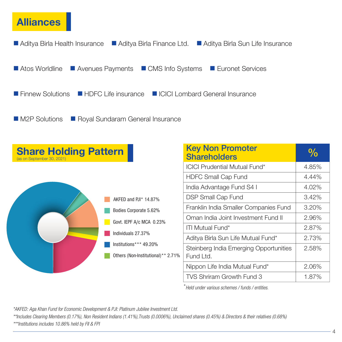## Alliances



| <b>Share Holding Pattern</b><br>(as on September 30, 2021) |                                    | <b>Key Non Promoter</b><br><b>Shareholders</b> | $\frac{0}{0}$ |
|------------------------------------------------------------|------------------------------------|------------------------------------------------|---------------|
|                                                            |                                    | <b>ICICI Prudential Mutual Fund*</b>           | 4.85%         |
|                                                            |                                    | <b>HDFC Small Cap Fund</b>                     | 4.44%         |
|                                                            |                                    | India Advantage Fund S4 I                      | 4.02%         |
|                                                            | AKFED and PJI* 14.87%              | <b>DSP Small Cap Fund</b>                      | 3.42%         |
|                                                            | Bodies Corporate 5.62%             | Franklin India Smaller Companies Fund          | 3.20%         |
|                                                            | Govt. IEPF A/c MCA 0.23%           | Oman India Joint Investment Fund II            | 2.96%         |
|                                                            |                                    | <b>ITI Mutual Fund*</b>                        | 2.87%         |
|                                                            | Individuals 27.37%                 | Aditya Birla Sun Life Mutual Fund*             | 2.73%         |
|                                                            | Institutions*** 49.20%             | Steinberg India Emerging Opportunities         | 2.58%         |
|                                                            | Others (Non-Institutional)** 2.71% | Fund Ltd.                                      |               |
|                                                            |                                    | Nippon Life India Mutual Fund*                 | 2.06%         |
|                                                            |                                    | TVS Shriram Growth Fund 3                      | 1.87%         |

\**Held under various schemes / funds / entities.*

*\*AKFED: Aga Khan Fund for Economic Development & PJI: Platinum Jubilee Investment Ltd.*

*\*\*Includes Clearing Members (0.17%), Non Resident Indians (1.41%),Trusts (0.0006%), Unclaimed shares (0.45%) & Directors & their relatives (0.68%)*

*\*\*\*Institutions includes 10.86% held by FII & FPI*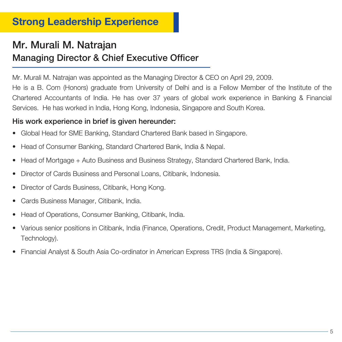## Strong Leadership Experience

## Mr. Murali M. Natrajan Managing Director & Chief Executive Officer

Mr. Murali M. Natrajan was appointed as the Managing Director & CEO on April 29, 2009.

He is a B. Com (Honors) graduate from University of Delhi and is a Fellow Member of the Institute of the Chartered Accountants of India. He has over 37 years of global work experience in Banking & Financial Services. He has worked in India, Hong Kong, Indonesia, Singapore and South Korea.

### His work experience in brief is given hereunder:

- Global Head for SME Banking, Standard Chartered Bank based in Singapore.
- Head of Consumer Banking, Standard Chartered Bank, India & Nepal.
- Head of Mortgage + Auto Business and Business Strategy, Standard Chartered Bank, India.
- Director of Cards Business and Personal Loans, Citibank, Indonesia.
- Director of Cards Business, Citibank, Hong Kong.
- Cards Business Manager, Citibank, India.
- Head of Operations, Consumer Banking, Citibank, India.
- Various senior positions in Citibank, India (Finance, Operations, Credit, Product Management, Marketing, Technology).
- Financial Analyst & South Asia Co-ordinator in American Express TRS (India & Singapore).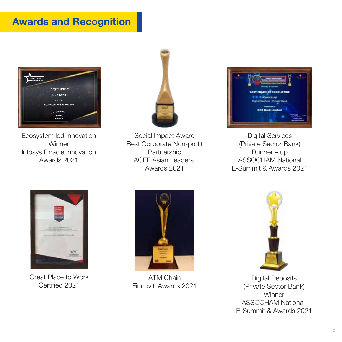## Awards and Recognition



Ecosystem led Innovation **Winner** Infosys Finacle Innovation Awards 2021



Social Impact Award Best Corporate Non-profit Partnership ACEF Asian Leaders Awards 2021



Digital Services (Private Sector Bank) Runner – up ASSOCHAM National E-Summit & Awards 2021



Great Place to Work Certified 2021



ATM Chain Finnoviti Awards 2021



Digital Deposits (Private Sector Bank) **Winner** ASSOCHAM National E-Summit & Awards 2021